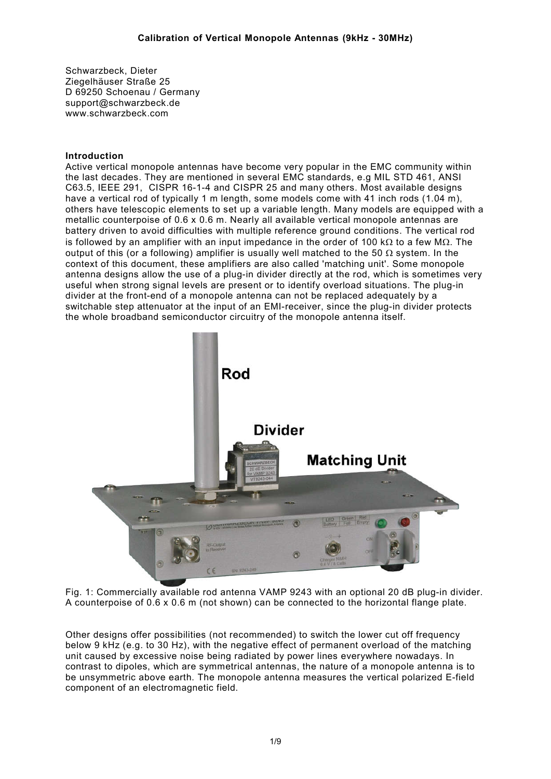Schwarzbeck, Dieter Ziegelhäuser Straße 25 D 69250 Schoenau / Germany support@schwarzbeck.de www.schwarzbeck.com

## **Introduction**

Active vertical monopole antennas have become very popular in the EMC community within the last decades. They are mentioned in several EMC standards, e.g MIL STD 461, ANSI C63.5, IEEE 291, CISPR 16-1-4 and CISPR 25 and many others. Most available designs have a vertical rod of typically 1 m length, some models come with 41 inch rods (1.04 m), others have telescopic elements to set up a variable length. Many models are equipped with a metallic counterpoise of 0.6 x 0.6 m. Nearly all available vertical monopole antennas are battery driven to avoid difficulties with multiple reference ground conditions. The vertical rod is followed by an amplifier with an input impedance in the order of 100 k $\Omega$  to a few M $\Omega$ . The output of this (or a following) amplifier is usually well matched to the 50  $\Omega$  system. In the context of this document, these amplifiers are also called 'matching unit'. Some monopole antenna designs allow the use of a plug-in divider directly at the rod, which is sometimes very useful when strong signal levels are present or to identify overload situations. The plug-in divider at the front-end of a monopole antenna can not be replaced adequately by a switchable step attenuator at the input of an EMI-receiver, since the plug-in divider protects the whole broadband semiconductor circuitry of the monopole antenna itself.



Fig. 1: Commercially available rod antenna VAMP 9243 with an optional 20 dB plug-in divider. A counterpoise of 0.6 x 0.6 m (not shown) can be connected to the horizontal flange plate.

Other designs offer possibilities (not recommended) to switch the lower cut off frequency below 9 kHz (e.g. to 30 Hz), with the negative effect of permanent overload of the matching unit caused by excessive noise being radiated by power lines everywhere nowadays. In contrast to dipoles, which are symmetrical antennas, the nature of a monopole antenna is to be unsymmetric above earth. The monopole antenna measures the vertical polarized E-field component of an electromagnetic field.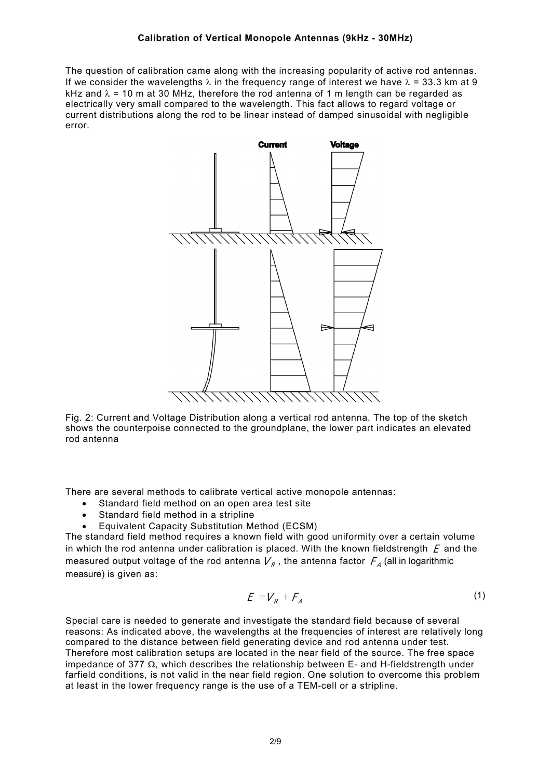The question of calibration came along with the increasing popularity of active rod antennas. If we consider the wavelengths  $\lambda$  in the frequency range of interest we have  $\lambda$  = 33.3 km at 9 kHz and  $\lambda$  = 10 m at 30 MHz, therefore the rod antenna of 1 m length can be regarded as electrically very small compared to the wavelength. This fact allows to regard voltage or current distributions along the rod to be linear instead of damped sinusoidal with negligible error.



Fig. 2: Current and Voltage Distribution along a vertical rod antenna. The top of the sketch shows the counterpoise connected to the groundplane, the lower part indicates an elevated rod antenna

There are several methods to calibrate vertical active monopole antennas:

- Standard field method on an open area test site
- Standard field method in a stripline
- Equivalent Capacity Substitution Method (ECSM)

The standard field method requires a known field with good uniformity over a certain volume in which the rod antenna under calibration is placed. With the known fieldstrength  $\emph{\textbf{F}}$  and the measured output voltage of the rod antenna  $V_{_R}$  , the antenna factor  $\mathit{\mathop{F}}_{A}$  (all in logarithmic measure) is given as:

$$
E = V_R + F_A \tag{1}
$$

Special care is needed to generate and investigate the standard field because of several reasons: As indicated above, the wavelengths at the frequencies of interest are relatively long compared to the distance between field generating device and rod antenna under test. Therefore most calibration setups are located in the near field of the source. The free space impedance of 377  $\Omega$ , which describes the relationship between E- and H-fieldstrength under farfield conditions, is not valid in the near field region. One solution to overcome this problem at least in the lower frequency range is the use of a TEM-cell or a stripline.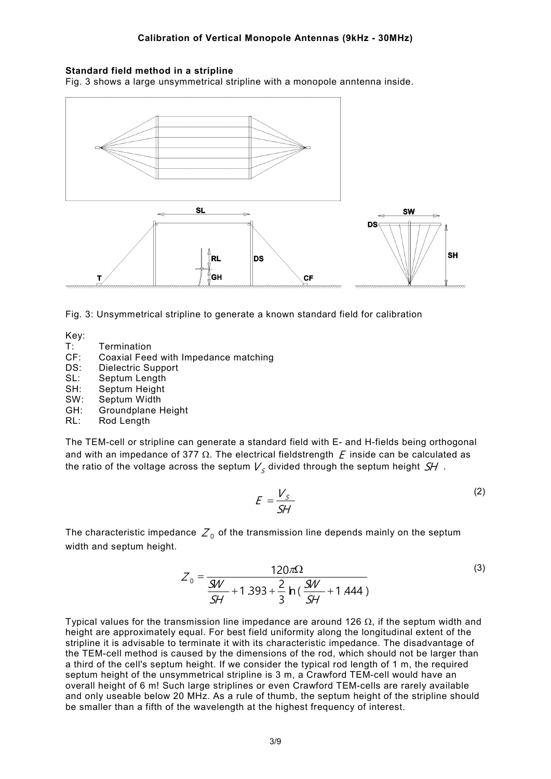#### Standard field method in a stripline

Fig. 3 shows a large unsymmetrical stripline with a monopole anntenna inside.



Fig. 3: Unsymmetrical stripline to generate a known standard field for calibration

Key:

- T: Termination
- CF: Coaxial Feed with Impedance matching
- DS: Dielectric Support
- SL: Septum Length
- SH: Septum Height
- SW: Septum Width
- GH: Groundplane Height
- RL: Rod Length

The TEM-cell or stripline can generate a standard field with E- and H-fields being orthogonal and with an impedance of 377  $\Omega.$  The electrical fieldstrength  $\emph{\textbf{E}}$  inside can be calculated as the ratio of the voltage across the septum  $V_{_S}$  divided through the septum height  $S\!H$  .

$$
E = \frac{V_s}{S H}
$$
 (2)

The characteristic impedance  $\mathcal{Z}_{\textrm{0}}$  of the transmission line depends mainly on the septum width and septum height.

$$
Z_0 = \frac{120\pi\Omega}{\frac{\text{SW}}{\text{SH}} + 1.393 + \frac{2}{3}\ln\left(\frac{\text{SW}}{\text{SH}} + 1.444\right)}
$$
(3)

Typical values for the transmission line impedance are around 126  $\Omega$ , if the septum width and height are approximately equal. For best field uniformity along the longitudinal extent of the stripline it is advisable to terminate it with its characteristic impedance. The disadvantage of the TEM-cell method is caused by the dimensions of the rod, which should not be larger than a third of the cell's septum height. If we consider the typical rod length of 1 m, the required septum height of the unsymmetrical stripline is 3 m, a Crawford TEM-cell would have an overall height of 6 m! Such large striplines or even Crawford TEM-cells are rarely available and only useable below 20 MHz. As a rule of thumb, the septum height of the stripline should be smaller than a fifth of the wavelength at the highest frequency of interest.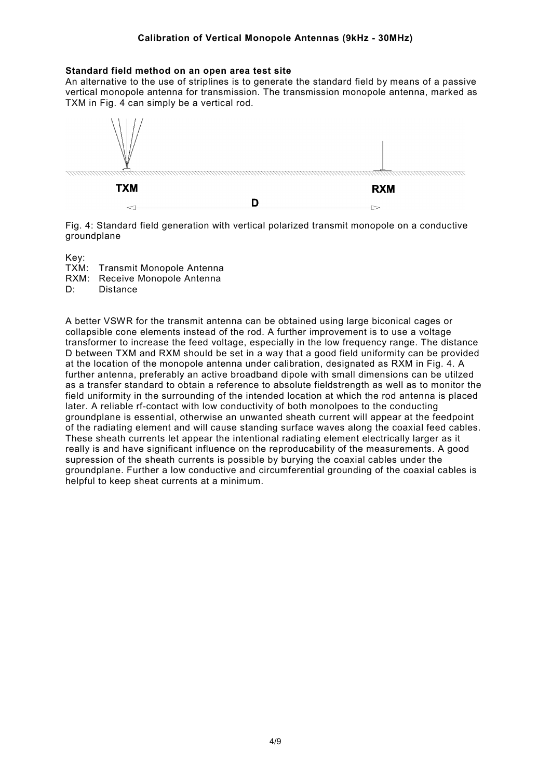## Standard field method on an open area test site

An alternative to the use of striplines is to generate the standard field by means of a passive vertical monopole antenna for transmission. The transmission monopole antenna, marked as TXM in Fig. 4 can simply be a vertical rod.



Fig. 4: Standard field generation with vertical polarized transmit monopole on a conductive groundplane

Key: TXM: Transmit Monopole Antenna RXM: Receive Monopole Antenna D: Distance

A better VSWR for the transmit antenna can be obtained using large biconical cages or collapsible cone elements instead of the rod. A further improvement is to use a voltage transformer to increase the feed voltage, especially in the low frequency range. The distance D between TXM and RXM should be set in a way that a good field uniformity can be provided at the location of the monopole antenna under calibration, designated as RXM in Fig. 4. A further antenna, preferably an active broadband dipole with small dimensions can be utilzed as a transfer standard to obtain a reference to absolute fieldstrength as well as to monitor the field uniformity in the surrounding of the intended location at which the rod antenna is placed later. A reliable rf-contact with low conductivity of both monolpoes to the conducting groundplane is essential, otherwise an unwanted sheath current will appear at the feedpoint of the radiating element and will cause standing surface waves along the coaxial feed cables. These sheath currents let appear the intentional radiating element electrically larger as it really is and have significant influence on the reproducability of the measurements. A good supression of the sheath currents is possible by burying the coaxial cables under the groundplane. Further a low conductive and circumferential grounding of the coaxial cables is helpful to keep sheat currents at a minimum.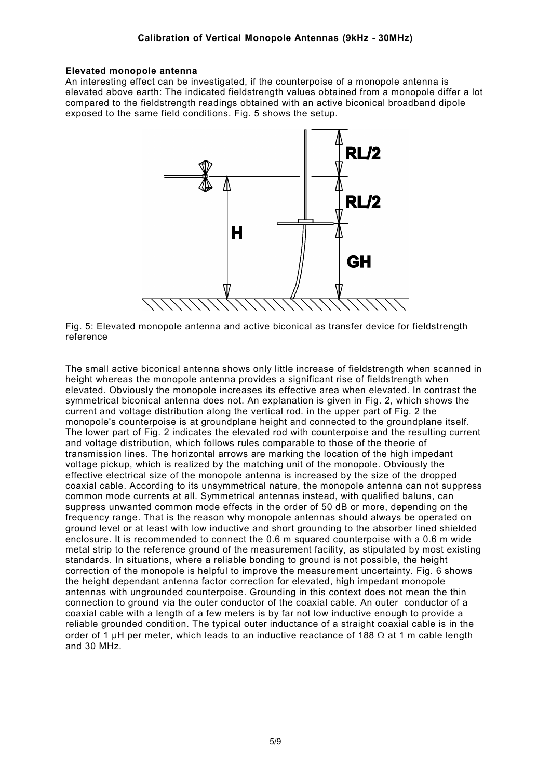### Elevated monopole antenna

An interesting effect can be investigated, if the counterpoise of a monopole antenna is elevated above earth: The indicated fieldstrength values obtained from a monopole differ a lot compared to the fieldstrength readings obtained with an active biconical broadband dipole exposed to the same field conditions. Fig. 5 shows the setup.



Fig. 5: Elevated monopole antenna and active biconical as transfer device for fieldstrength reference

The small active biconical antenna shows only little increase of fieldstrength when scanned in height whereas the monopole antenna provides a significant rise of fieldstrength when elevated. Obviously the monopole increases its effective area when elevated. In contrast the symmetrical biconical antenna does not. An explanation is given in Fig. 2, which shows the current and voltage distribution along the vertical rod. in the upper part of Fig. 2 the monopole's counterpoise is at groundplane height and connected to the groundplane itself. The lower part of Fig. 2 indicates the elevated rod with counterpoise and the resulting current and voltage distribution, which follows rules comparable to those of the theorie of transmission lines. The horizontal arrows are marking the location of the high impedant voltage pickup, which is realized by the matching unit of the monopole. Obviously the effective electrical size of the monopole antenna is increased by the size of the dropped coaxial cable. According to its unsymmetrical nature, the monopole antenna can not suppress common mode currents at all. Symmetrical antennas instead, with qualified baluns, can suppress unwanted common mode effects in the order of 50 dB or more, depending on the frequency range. That is the reason why monopole antennas should always be operated on ground level or at least with low inductive and short grounding to the absorber lined shielded enclosure. It is recommended to connect the 0.6 m squared counterpoise with a 0.6 m wide metal strip to the reference ground of the measurement facility, as stipulated by most existing standards. In situations, where a reliable bonding to ground is not possible, the height correction of the monopole is helpful to improve the measurement uncertainty. Fig. 6 shows the height dependant antenna factor correction for elevated, high impedant monopole antennas with ungrounded counterpoise. Grounding in this context does not mean the thin connection to ground via the outer conductor of the coaxial cable. An outer conductor of a coaxial cable with a length of a few meters is by far not low inductive enough to provide a reliable grounded condition. The typical outer inductance of a straight coaxial cable is in the order of 1  $\mu$ H per meter, which leads to an inductive reactance of 188  $\Omega$  at 1 m cable length and 30 MHz.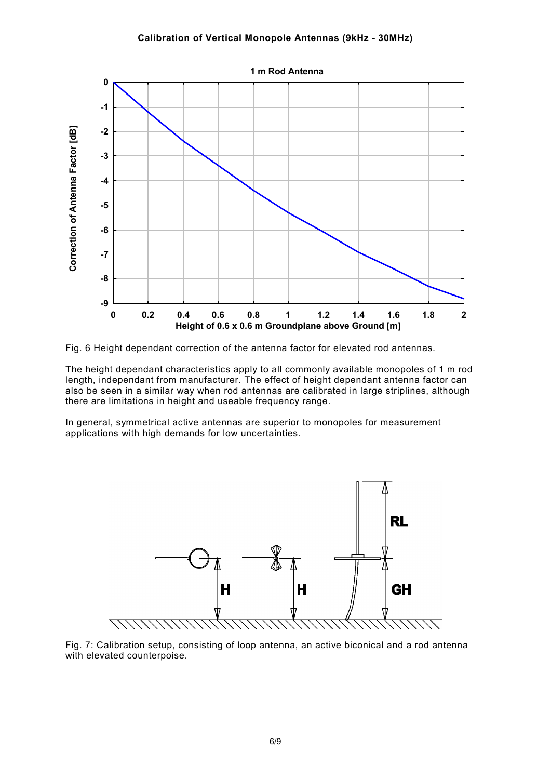

Fig. 6 Height dependant correction of the antenna factor for elevated rod antennas.

The height dependant characteristics apply to all commonly available monopoles of 1 m rod length, independant from manufacturer. The effect of height dependant antenna factor can also be seen in a similar way when rod antennas are calibrated in large striplines, although there are limitations in height and useable frequency range.

In general, symmetrical active antennas are superior to monopoles for measurement applications with high demands for low uncertainties.



Fig. 7: Calibration setup, consisting of loop antenna, an active biconical and a rod antenna with elevated counterpoise.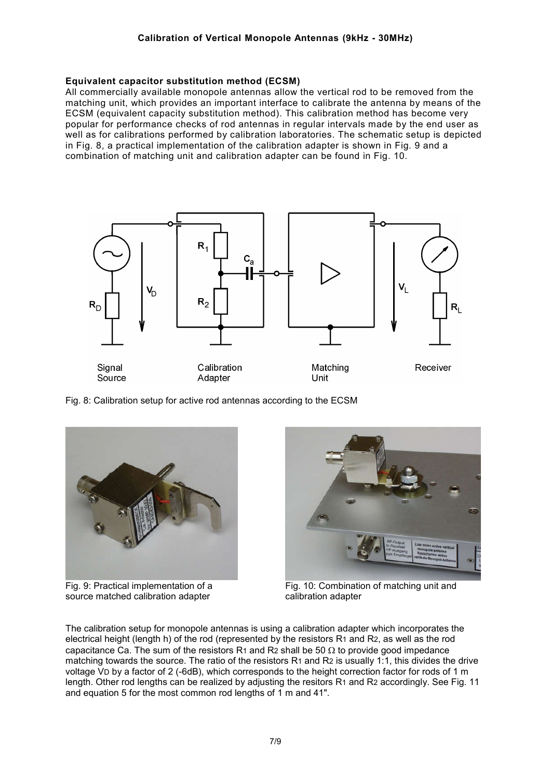# Equivalent capacitor substitution method (ECSM)

All commercially available monopole antennas allow the vertical rod to be removed from the matching unit, which provides an important interface to calibrate the antenna by means of the ECSM (equivalent capacity substitution method). This calibration method has become very popular for performance checks of rod antennas in regular intervals made by the end user as well as for calibrations performed by calibration laboratories. The schematic setup is depicted in Fig. 8, a practical implementation of the calibration adapter is shown in Fig. 9 and a combination of matching unit and calibration adapter can be found in Fig. 10.



Fig. 8: Calibration setup for active rod antennas according to the ECSM



Fig. 9: Practical implementation of a source matched calibration adapter



Fig. 10: Combination of matching unit and calibration adapter

The calibration setup for monopole antennas is using a calibration adapter which incorporates the electrical height (length h) of the rod (represented by the resistors R1 and R2, as well as the rod capacitance Ca. The sum of the resistors R<sub>1</sub> and R<sub>2</sub> shall be 50  $\Omega$  to provide good impedance matching towards the source. The ratio of the resistors R1 and R2 is usually 1:1, this divides the drive voltage VD by a factor of 2 (-6dB), which corresponds to the height correction factor for rods of 1 m length. Other rod lengths can be realized by adjusting the resitors R1 and R2 accordingly. See Fig. 11 and equation 5 for the most common rod lengths of 1 m and 41".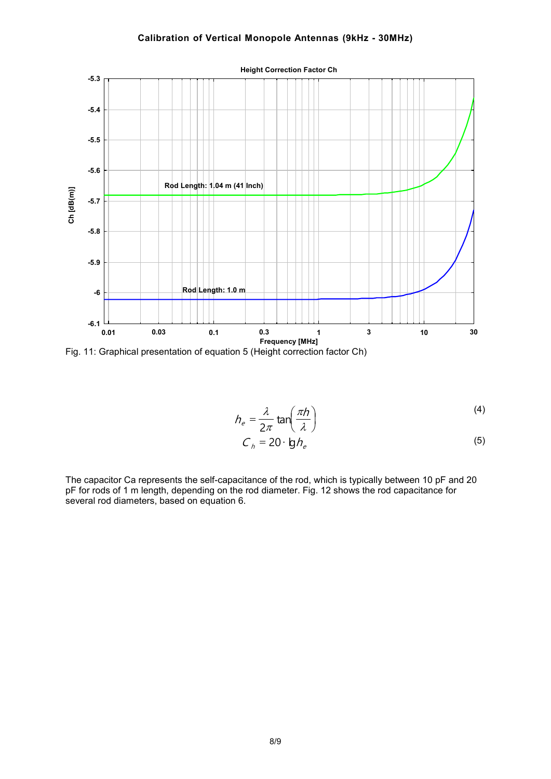

Fig. 11: Graphical presentation of equation 5 (Height correction factor Ch)

$$
h_e = \frac{\lambda}{2\pi} \tan\left(\frac{\pi h}{\lambda}\right)
$$
 (4)

$$
C_h = 20 \cdot \mathbf{h} h_e \tag{5}
$$

The capacitor Ca represents the self-capacitance of the rod, which is typically between 10 pF and 20 pF for rods of 1 m length, depending on the rod diameter. Fig. 12 shows the rod capacitance for several rod diameters, based on equation 6.